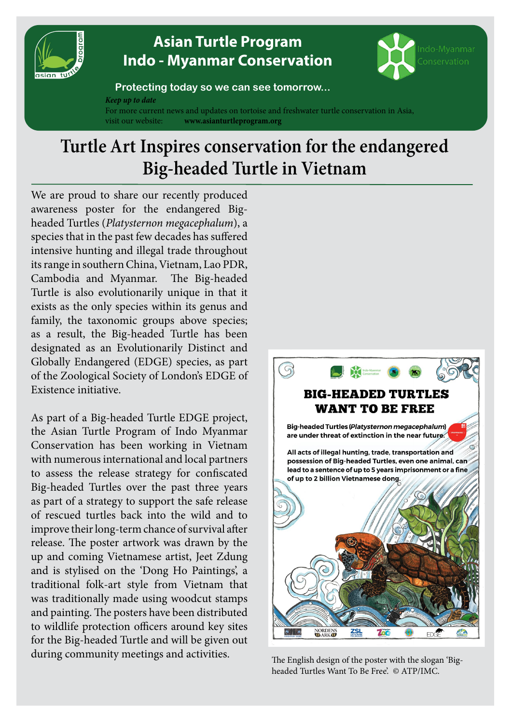

## **[Asian Turtle Program](http://www.asianturtleprogram.org) [Indo - Myanmar Conservation](http://www.asianturtleprogram.org)**



## **Protecting today so we can see tomorrow...**

*Keep up to date*

For more current news and updates on tortoise and freshwater turtle conservation in Asia, visit our website: **www.asianturtleprogram.org**

## **Turtle Art Inspires conservation for the endangered Big-headed Turtle in Vietnam**

We are proud to share our recently produced awareness poster for the endangered Bigheaded Turtles (*Platysternon megacephalum*), a species that in the past few decades has suffered intensive hunting and illegal trade throughout its range in southern China, Vietnam, Lao PDR, Cambodia and Myanmar. The Big-headed Turtle is also evolutionarily unique in that it exists as the only species within its genus and family, the taxonomic groups above species; as a result, the Big-headed Turtle has been designated as an Evolutionarily Distinct and Globally Endangered (EDGE) species, as part of the Zoological Society of London's EDGE of Existence initiative.

As part of a Big-headed Turtle EDGE project, the Asian Turtle Program of Indo Myanmar Conservation has been working in Vietnam with numerous international and local partners to assess the release strategy for confiscated Big-headed Turtles over the past three years as part of a strategy to support the safe release of rescued turtles back into the wild and to improve their long-term chance of survival after release. The poster artwork was drawn by the up and coming Vietnamese artist, Jeet Zdung and is stylised on the 'Dong Ho Paintings', a traditional folk-art style from Vietnam that was traditionally made using woodcut stamps and painting. The posters have been distributed to wildlife protection officers around key sites for the Big-headed Turtle and will be given out during community meetings and activities.



The English design of the poster with the slogan 'Bigheaded Turtles Want To Be Free'. © ATP/IMC.